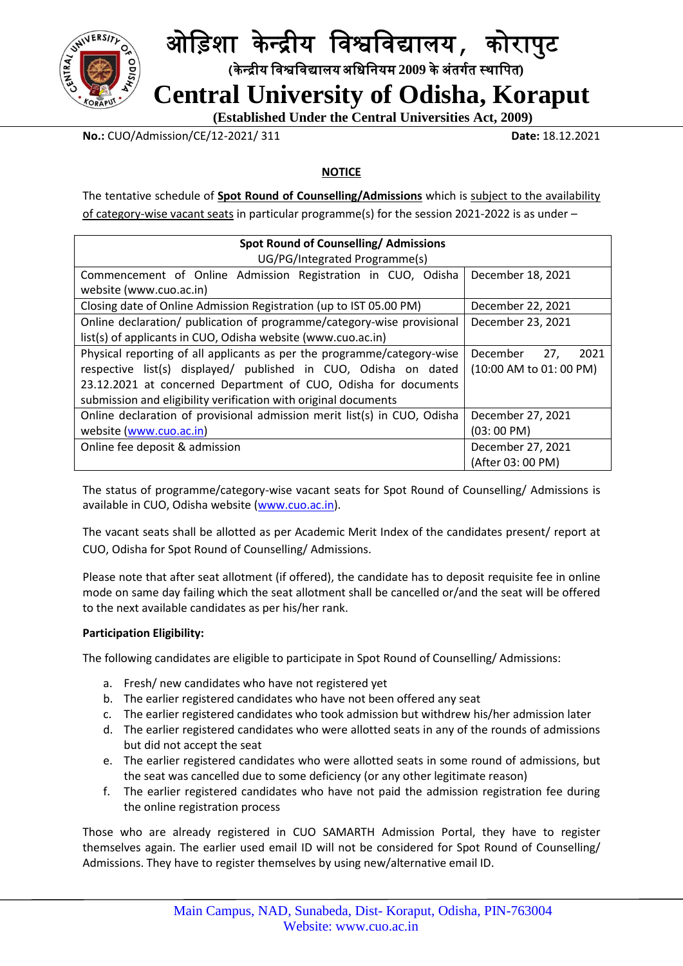

## ओड़िशा के न्द्रीय ड़िश्वड़िद्यालय**,** कोरापुट

 **(**के न्द्रीय ड़िश्वड़िद्यालयअड़िड़ियम **2009** केअंतर्गत स्थाड़पत**)**

 **Central University of Odisha, Koraput**

 **(Established Under the Central Universities Act, 2009)**

**No.:** CUO/Admission/CE/12-2021/ 311 **Date:** 18.12.2021

#### **NOTICE**

The tentative schedule of **Spot Round of Counselling/Admissions** which is subject to the availability of category-wise vacant seats in particular programme(s) for the session 2021-2022 is as under –

| <b>Spot Round of Counselling/ Admissions</b>                             |                         |
|--------------------------------------------------------------------------|-------------------------|
| UG/PG/Integrated Programme(s)                                            |                         |
| Commencement of Online Admission Registration in CUO, Odisha             | December 18, 2021       |
| website (www.cuo.ac.in)                                                  |                         |
| Closing date of Online Admission Registration (up to IST 05.00 PM)       | December 22, 2021       |
| Online declaration/ publication of programme/category-wise provisional   | December 23, 2021       |
| list(s) of applicants in CUO, Odisha website (www.cuo.ac.in)             |                         |
| Physical reporting of all applicants as per the programme/category-wise  | 27,<br>December<br>2021 |
| respective list(s) displayed/ published in CUO, Odisha on dated          | (10:00 AM to 01: 00 PM) |
| 23.12.2021 at concerned Department of CUO, Odisha for documents          |                         |
| submission and eligibility verification with original documents          |                         |
| Online declaration of provisional admission merit list(s) in CUO, Odisha | December 27, 2021       |
| website (www.cuo.ac.in)                                                  | $(03:00 \text{ PM})$    |
| Online fee deposit & admission                                           | December 27, 2021       |
|                                                                          | (After 03: 00 PM)       |

The status of programme/category-wise vacant seats for Spot Round of Counselling/ Admissions is available in CUO, Odisha website [\(www.cuo.ac.in\)](http://www.cuo.ac.in/).

The vacant seats shall be allotted as per Academic Merit Index of the candidates present/ report at CUO, Odisha for Spot Round of Counselling/ Admissions.

Please note that after seat allotment (if offered), the candidate has to deposit requisite fee in online mode on same day failing which the seat allotment shall be cancelled or/and the seat will be offered to the next available candidates as per his/her rank.

#### **Participation Eligibility:**

The following candidates are eligible to participate in Spot Round of Counselling/ Admissions:

- a. Fresh/ new candidates who have not registered yet
- b. The earlier registered candidates who have not been offered any seat
- c. The earlier registered candidates who took admission but withdrew his/her admission later
- d. The earlier registered candidates who were allotted seats in any of the rounds of admissions but did not accept the seat
- e. The earlier registered candidates who were allotted seats in some round of admissions, but the seat was cancelled due to some deficiency (or any other legitimate reason)
- f. The earlier registered candidates who have not paid the admission registration fee during the online registration process

Those who are already registered in CUO SAMARTH Admission Portal, they have to register themselves again. The earlier used email ID will not be considered for Spot Round of Counselling/ Admissions. They have to register themselves by using new/alternative email ID.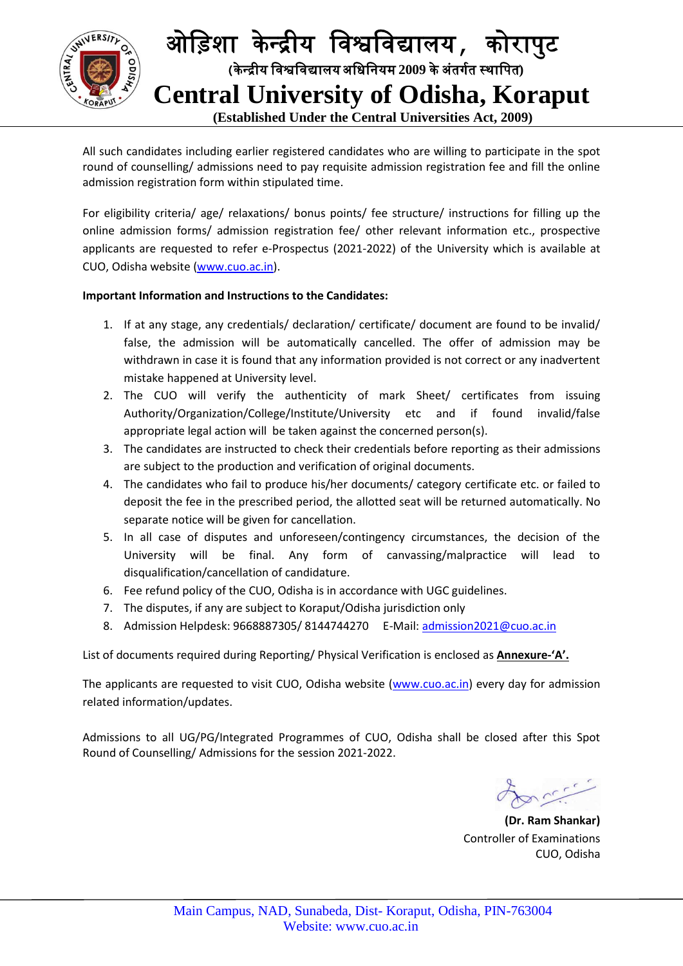

All such candidates including earlier registered candidates who are willing to participate in the spot round of counselling/ admissions need to pay requisite admission registration fee and fill the online admission registration form within stipulated time.

For eligibility criteria/ age/ relaxations/ bonus points/ fee structure/ instructions for filling up the online admission forms/ admission registration fee/ other relevant information etc., prospective applicants are requested to refer e-Prospectus (2021-2022) of the University which is available at CUO, Odisha website [\(www.cuo.ac.in\)](http://www.cuo.ac.in/).

#### **Important Information and Instructions to the Candidates:**

- 1. If at any stage, any credentials/ declaration/ certificate/ document are found to be invalid/ false, the admission will be automatically cancelled. The offer of admission may be withdrawn in case it is found that any information provided is not correct or any inadvertent mistake happened at University level.
- 2. The CUO will verify the authenticity of mark Sheet/ certificates from issuing Authority/Organization/College/Institute/University etc and if found invalid/false appropriate legal action will be taken against the concerned person(s).
- 3. The candidates are instructed to check their credentials before reporting as their admissions are subject to the production and verification of original documents.
- 4. The candidates who fail to produce his/her documents/ category certificate etc. or failed to deposit the fee in the prescribed period, the allotted seat will be returned automatically. No separate notice will be given for cancellation.
- 5. In all case of disputes and unforeseen/contingency circumstances, the decision of the University will be final. Any form of canvassing/malpractice will lead to disqualification/cancellation of candidature.
- 6. Fee refund policy of the CUO, Odisha is in accordance with UGC guidelines.
- 7. The disputes, if any are subject to Koraput/Odisha jurisdiction only
- 8. Admission Helpdesk: 9668887305/8144744270 E-Mail: [admission2021@cuo.ac.in](mailto:admission2021@cuo.ac.in)

List of documents required during Reporting/ Physical Verification is enclosed as **Annexure-'A'.**

The applicants are requested to visit CUO, Odisha website [\(www.cuo.ac.in\)](http://www.cuo.ac.in/) every day for admission related information/updates.

Admissions to all UG/PG/Integrated Programmes of CUO, Odisha shall be closed after this Spot Round of Counselling/ Admissions for the session 2021-2022.

**(Dr. Ram Shankar)** Controller of Examinations CUO, Odisha